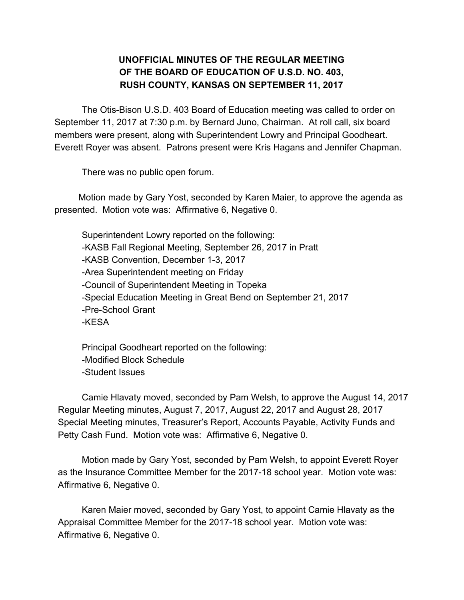## **UNOFFICIAL MINUTES OF THE REGULAR MEETING OF THE BOARD OF EDUCATION OF U.S.D. NO. 403, RUSH COUNTY, KANSAS ON SEPTEMBER 11, 2017**

The Otis-Bison U.S.D. 403 Board of Education meeting was called to order on September 11, 2017 at 7:30 p.m. by Bernard Juno, Chairman. At roll call, six board members were present, along with Superintendent Lowry and Principal Goodheart. Everett Royer was absent. Patrons present were Kris Hagans and Jennifer Chapman.

There was no public open forum.

Motion made by Gary Yost, seconded by Karen Maier, to approve the agenda as presented. Motion vote was: Affirmative 6, Negative 0.

Superintendent Lowry reported on the following: -KASB Fall Regional Meeting, September 26, 2017 in Pratt -KASB Convention, December 1-3, 2017 -Area Superintendent meeting on Friday -Council of Superintendent Meeting in Topeka -Special Education Meeting in Great Bend on September 21, 2017 -Pre-School Grant -KESA

Principal Goodheart reported on the following: -Modified Block Schedule -Student Issues

Camie Hlavaty moved, seconded by Pam Welsh, to approve the August 14, 2017 Regular Meeting minutes, August 7, 2017, August 22, 2017 and August 28, 2017 Special Meeting minutes, Treasurer's Report, Accounts Payable, Activity Funds and Petty Cash Fund. Motion vote was: Affirmative 6, Negative 0.

Motion made by Gary Yost, seconded by Pam Welsh, to appoint Everett Royer as the Insurance Committee Member for the 2017-18 school year. Motion vote was: Affirmative 6, Negative 0.

Karen Maier moved, seconded by Gary Yost, to appoint Camie Hlavaty as the Appraisal Committee Member for the 2017-18 school year. Motion vote was: Affirmative 6, Negative 0.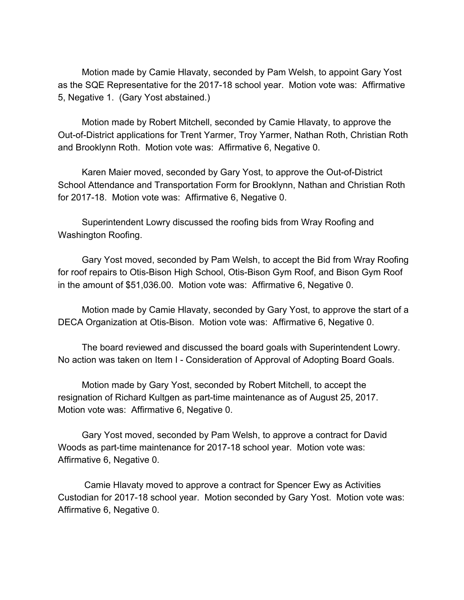Motion made by Camie Hlavaty, seconded by Pam Welsh, to appoint Gary Yost as the SQE Representative for the 2017-18 school year. Motion vote was: Affirmative 5, Negative 1. (Gary Yost abstained.)

Motion made by Robert Mitchell, seconded by Camie Hlavaty, to approve the Out-of-District applications for Trent Yarmer, Troy Yarmer, Nathan Roth, Christian Roth and Brooklynn Roth. Motion vote was: Affirmative 6, Negative 0.

Karen Maier moved, seconded by Gary Yost, to approve the Out-of-District School Attendance and Transportation Form for Brooklynn, Nathan and Christian Roth for 2017-18. Motion vote was: Affirmative 6, Negative 0.

Superintendent Lowry discussed the roofing bids from Wray Roofing and Washington Roofing.

Gary Yost moved, seconded by Pam Welsh, to accept the Bid from Wray Roofing for roof repairs to Otis-Bison High School, Otis-Bison Gym Roof, and Bison Gym Roof in the amount of \$51,036.00. Motion vote was: Affirmative 6, Negative 0.

Motion made by Camie Hlavaty, seconded by Gary Yost, to approve the start of a DECA Organization at Otis-Bison. Motion vote was: Affirmative 6, Negative 0.

The board reviewed and discussed the board goals with Superintendent Lowry. No action was taken on Item I - Consideration of Approval of Adopting Board Goals.

Motion made by Gary Yost, seconded by Robert Mitchell, to accept the resignation of Richard Kultgen as part-time maintenance as of August 25, 2017. Motion vote was: Affirmative 6, Negative 0.

Gary Yost moved, seconded by Pam Welsh, to approve a contract for David Woods as part-time maintenance for 2017-18 school year. Motion vote was: Affirmative 6, Negative 0.

Camie Hlavaty moved to approve a contract for Spencer Ewy as Activities Custodian for 2017-18 school year. Motion seconded by Gary Yost. Motion vote was: Affirmative 6, Negative 0.